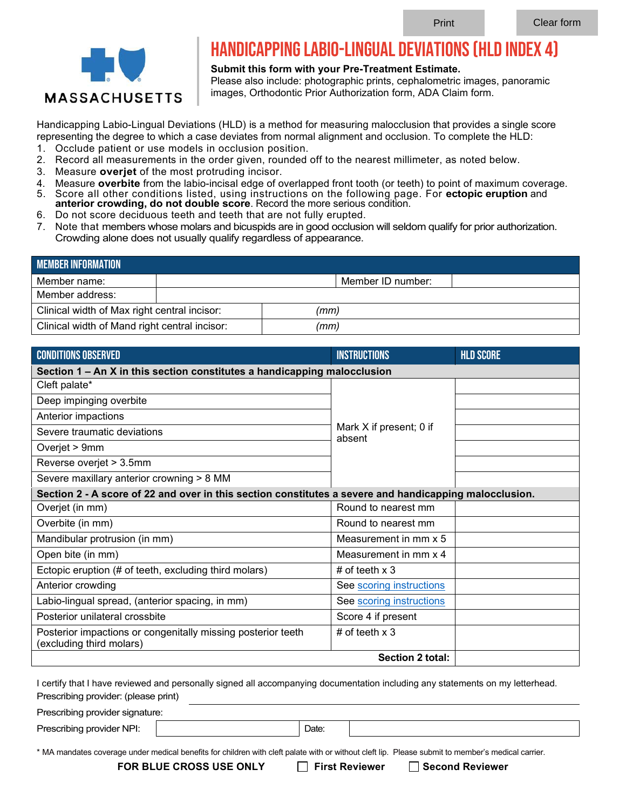

## Handicapping Labio-Lingual Deviations (HLD Index 4)

**Submit this form with your Pre-Treatment Estimate.** 

Please also include: photographic prints, cephalometric images, panoramic images, Orthodontic Prior Authorization form, ADA Claim form.

Handicapping Labio-Lingual Deviations (HLD) is a method for measuring malocclusion that provides a single score representing the degree to which a case deviates from normal alignment and occlusion. To complete the HLD:

- 1. Occlude patient or use models in occlusion position.
- 2. Record all measurements in the order given, rounded off to the nearest millimeter, as noted below.
- 3. Measure **overjet** of the most protruding incisor.
- 4. Measure **overbite** from the labio-incisal edge of overlapped front tooth (or teeth) to point of maximum coverage. 5. Score all other conditions listed, using instructions on the following page. For **ectopic eruption** and
- **anterior crowding, do not double score**. Record the more serious condition.
- 6. Do not score deciduous teeth and teeth that are not fully erupted. 7. Note that members whose molars and bicuspids are in good occlusion will seldom qualify for prior authorization.
- Crowding alone does not usually qualify regardless of appearance.

| <b>MEMBER INFORMATION</b>                     |  |      |                   |  |  |
|-----------------------------------------------|--|------|-------------------|--|--|
| Member name:                                  |  |      | Member ID number: |  |  |
| Member address:                               |  |      |                   |  |  |
| Clinical width of Max right central incisor:  |  | (mm) |                   |  |  |
| Clinical width of Mand right central incisor: |  | (mm) |                   |  |  |

| <b>CONDITIONS OBSERVED</b>                                                                             | <b>INSTRUCTIONS</b>               | <b>HLD SCORE</b> |  |  |
|--------------------------------------------------------------------------------------------------------|-----------------------------------|------------------|--|--|
| Section 1 – An X in this section constitutes a handicapping malocclusion                               |                                   |                  |  |  |
| Cleft palate*                                                                                          | Mark X if present; 0 if<br>absent |                  |  |  |
| Deep impinging overbite                                                                                |                                   |                  |  |  |
| Anterior impactions                                                                                    |                                   |                  |  |  |
| Severe traumatic deviations                                                                            |                                   |                  |  |  |
| Overjet > 9mm                                                                                          |                                   |                  |  |  |
| Reverse overjet > 3.5mm                                                                                |                                   |                  |  |  |
| Severe maxillary anterior crowning > 8 MM                                                              |                                   |                  |  |  |
| Section 2 - A score of 22 and over in this section constitutes a severe and handicapping malocclusion. |                                   |                  |  |  |
| Overjet (in mm)                                                                                        | Round to nearest mm               |                  |  |  |
| Overbite (in mm)                                                                                       | Round to nearest mm               |                  |  |  |
| Mandibular protrusion (in mm)                                                                          | Measurement in mm x 5             |                  |  |  |
| Open bite (in mm)                                                                                      | Measurement in mm x 4             |                  |  |  |
| Ectopic eruption (# of teeth, excluding third molars)                                                  | # of teeth $x$ 3                  |                  |  |  |
| Anterior crowding                                                                                      | See scoring instructions          |                  |  |  |
| Labio-lingual spread, (anterior spacing, in mm)                                                        | See scoring instructions          |                  |  |  |
| Posterior unilateral crossbite                                                                         | Score 4 if present                |                  |  |  |
| Posterior impactions or congenitally missing posterior teeth<br>(excluding third molars)               | # of teeth $x$ 3                  |                  |  |  |
|                                                                                                        | <b>Section 2 total:</b>           |                  |  |  |

I certify that I have reviewed and personally signed all accompanying documentation including any statements on my letterhead. Prescribing provider: (please print) Prescribing provider signature: Prescribing provider NPI:  $\qquad$  | Date:

\* MA mandates coverage under medical benefits for children with cleft palate with or without cleft lip. Please submit to member's medical carrier.